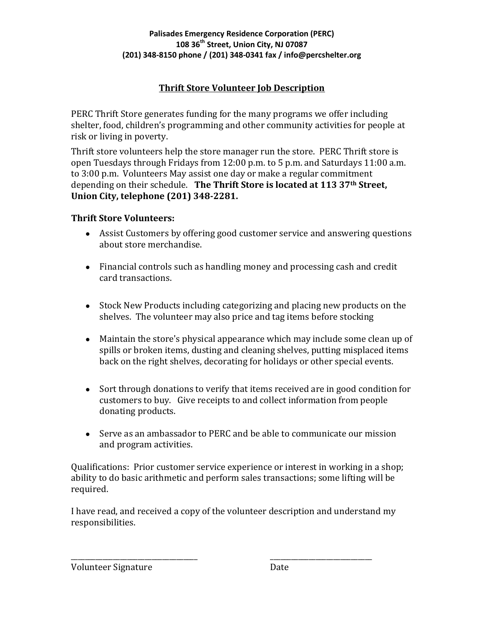## **Thrift Store Volunteer Job Description**

PERC Thrift Store generates funding for the many programs we offer including shelter, food, children's programming and other community activities for people at risk or living in poverty.

Thrift store volunteers help the store manager run the store. PERC Thrift store is open Tuesdays through Fridays from 12:00 p.m. to 5 p.m. and Saturdays 11:00 a.m. to 3:00 p.m. Volunteers May assist one day or make a regular commitment depending on their schedule. **The Thrift Store is located at 113 37th Street, Union City, telephone (201) 348-2281.**

### **Thrift Store Volunteers:**

- Assist Customers by offering good customer service and answering questions about store merchandise.
- Financial controls such as handling money and processing cash and credit card transactions.
- Stock New Products including categorizing and placing new products on the shelves. The volunteer may also price and tag items before stocking
- Maintain the store's physical appearance which may include some clean up of spills or broken items, dusting and cleaning shelves, putting misplaced items back on the right shelves, decorating for holidays or other special events.
- Sort through donations to verify that items received are in good condition for customers to buy. Give receipts to and collect information from people donating products.
- Serve as an ambassador to PERC and be able to communicate our mission and program activities.

Qualifications: Prior customer service experience or interest in working in a shop; ability to do basic arithmetic and perform sales transactions; some lifting will be required.

I have read, and received a copy of the volunteer description and understand my responsibilities.

\_\_\_\_\_\_\_\_\_\_\_\_\_\_\_\_\_\_\_\_\_\_\_\_\_\_\_\_\_\_\_\_\_\_\_\_ \_\_\_\_\_\_\_\_\_\_\_\_\_\_\_\_\_\_\_\_\_\_\_\_\_\_\_\_\_

Volunteer Signature Date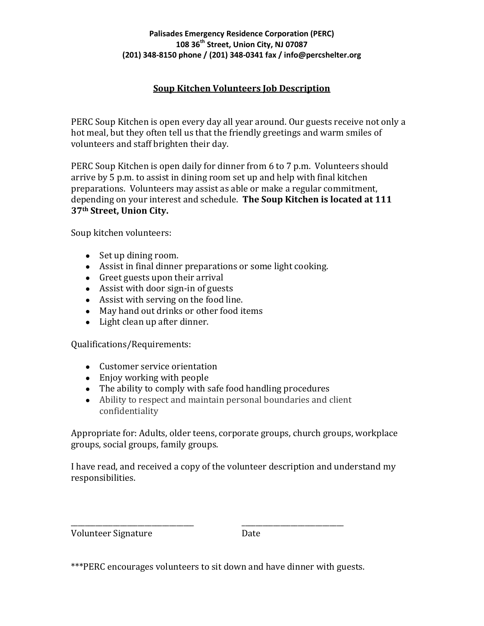#### **Palisades Emergency Residence Corporation (PERC) 108 36th Street, Union City, NJ 07087 (201) 348-8150 phone / (201) 348-0341 fax / info@percshelter.org**

### **Soup Kitchen Volunteers Job Description**

PERC Soup Kitchen is open every day all year around. Our guests receive not only a hot meal, but they often tell us that the friendly greetings and warm smiles of volunteers and staff brighten their day.

PERC Soup Kitchen is open daily for dinner from 6 to 7 p.m. Volunteers should arrive by 5 p.m. to assist in dining room set up and help with final kitchen preparations. Volunteers may assist as able or make a regular commitment, depending on your interest and schedule. **The Soup Kitchen is located at 111 37th Street, Union City.**

Soup kitchen volunteers:

- Set up dining room.
- Assist in final dinner preparations or some light cooking.
- Greet guests upon their arrival
- Assist with door sign-in of guests
- Assist with serving on the food line.
- May hand out drinks or other food items
- Light clean up after dinner.

Qualifications/Requirements:

- Customer service orientation
- Enjoy working with people
- The ability to comply with safe food handling procedures
- Ability to respect and maintain personal boundaries and client confidentiality

Appropriate for: Adults, older teens, corporate groups, church groups, workplace groups, social groups, family groups.

I have read, and received a copy of the volunteer description and understand my responsibilities.

Volunteer Signature Date

\_\_\_\_\_\_\_\_\_\_\_\_\_\_\_\_\_\_\_\_\_\_\_\_\_\_\_\_\_\_\_\_\_\_\_ \_\_\_\_\_\_\_\_\_\_\_\_\_\_\_\_\_\_\_\_\_\_\_\_\_\_\_\_\_

<sup>\*\*\*</sup>PERC encourages volunteers to sit down and have dinner with guests.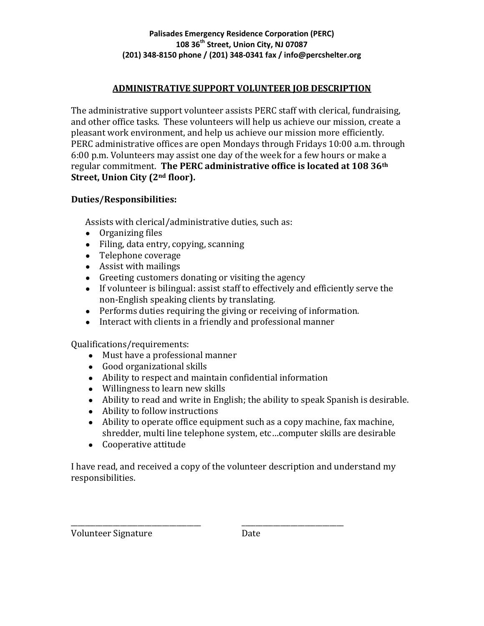### **ADMINISTRATIVE SUPPORT VOLUNTEER JOB DESCRIPTION**

The administrative support volunteer assists PERC staff with clerical, fundraising, and other office tasks. These volunteers will help us achieve our mission, create a pleasant work environment, and help us achieve our mission more efficiently. PERC administrative offices are open Mondays through Fridays 10:00 a.m. through 6:00 p.m. Volunteers may assist one day of the week for a few hours or make a regular commitment. **The PERC administrative office is located at 108 36th Street, Union City (2nd floor).**

#### **Duties/Responsibilities:**

Assists with clerical/administrative duties, such as:

- Organizing files
- Filing, data entry, copying, scanning
- Telephone coverage
- $\bullet$  Assist with mailings
- Greeting customers donating or visiting the agency
- If volunteer is bilingual: assist staff to effectively and efficiently serve the non-English speaking clients by translating.
- Performs duties requiring the giving or receiving of information.
- Interact with clients in a friendly and professional manner

Qualifications/requirements:

- Must have a professional manner
- Good organizational skills
- Ability to respect and maintain confidential information

\_\_\_\_\_\_\_\_\_\_\_\_\_\_\_\_\_\_\_\_\_\_\_\_\_\_\_\_\_\_\_\_\_\_\_\_\_ \_\_\_\_\_\_\_\_\_\_\_\_\_\_\_\_\_\_\_\_\_\_\_\_\_\_\_\_\_

- Willingness to learn new skills
- Ability to read and write in English; the ability to speak Spanish is desirable.
- Ability to follow instructions
- Ability to operate office equipment such as a copy machine, fax machine, shredder, multi line telephone system, etc…computer skills are desirable
- Cooperative attitude

I have read, and received a copy of the volunteer description and understand my responsibilities.

Volunteer Signature Date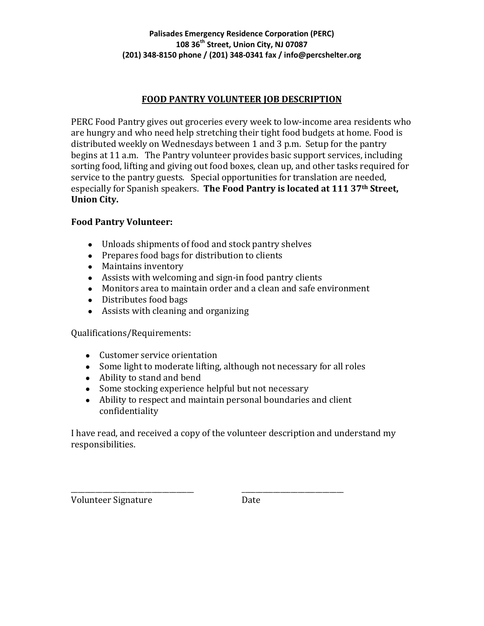### **FOOD PANTRY VOLUNTEER JOB DESCRIPTION**

PERC Food Pantry gives out groceries every week to low-income area residents who are hungry and who need help stretching their tight food budgets at home. Food is distributed weekly on Wednesdays between 1 and 3 p.m. Setup for the pantry begins at 11 a.m. The Pantry volunteer provides basic support services, including sorting food, lifting and giving out food boxes, clean up, and other tasks required for service to the pantry guests. Special opportunities for translation are needed, especially for Spanish speakers. **The Food Pantry is located at 111 37th Street, Union City.**

#### **Food Pantry Volunteer:**

- Unloads shipments of food and stock pantry shelves
- Prepares food bags for distribution to clients
- Maintains inventory
- Assists with welcoming and sign-in food pantry clients
- Monitors area to maintain order and a clean and safe environment
- Distributes food bags
- Assists with cleaning and organizing

Qualifications/Requirements:

- Customer service orientation
- Some light to moderate lifting, although not necessary for all roles
- Ability to stand and bend
- Some stocking experience helpful but not necessary

\_\_\_\_\_\_\_\_\_\_\_\_\_\_\_\_\_\_\_\_\_\_\_\_\_\_\_\_\_\_\_\_\_\_\_ \_\_\_\_\_\_\_\_\_\_\_\_\_\_\_\_\_\_\_\_\_\_\_\_\_\_\_\_\_

● Ability to respect and maintain personal boundaries and client confidentiality

I have read, and received a copy of the volunteer description and understand my responsibilities.

Volunteer Signature Date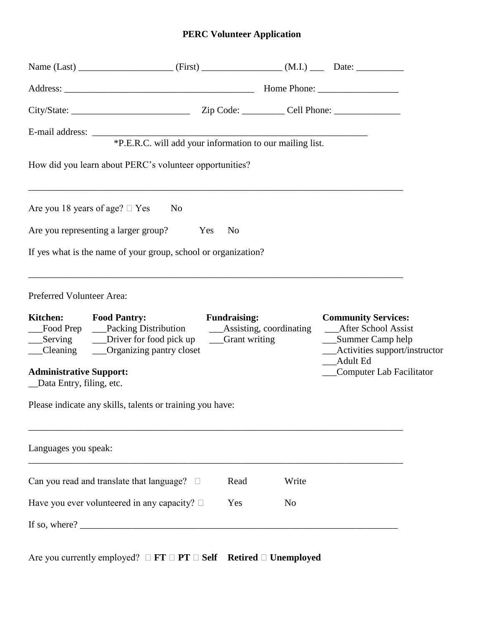# **PERC Volunteer Application**

|                                                                               | E-mail address:<br>*P.E.R.C. will add your information to our mailing list.                                                       |                     |       |                                                                           |                                 |
|-------------------------------------------------------------------------------|-----------------------------------------------------------------------------------------------------------------------------------|---------------------|-------|---------------------------------------------------------------------------|---------------------------------|
|                                                                               | How did you learn about PERC's volunteer opportunities?                                                                           |                     |       |                                                                           |                                 |
|                                                                               | Are you 18 years of age? $\Box$ Yes<br>N <sub>0</sub>                                                                             |                     |       |                                                                           |                                 |
|                                                                               | Are you representing a larger group? Yes                                                                                          | N <sub>0</sub>      |       |                                                                           |                                 |
|                                                                               | If yes what is the name of your group, school or organization?                                                                    |                     |       |                                                                           |                                 |
| Preferred Volunteer Area:                                                     |                                                                                                                                   |                     |       |                                                                           |                                 |
|                                                                               | Kitchen: Food Pantry:<br>Food Prep ___Packing Distribution ____Assisting, coordinating<br>Cleaning ______Organizing pantry closet | <b>Fundraising:</b> |       | <b>Community Services:</b><br>_After School Assist<br>___Summer Camp help | __Activities support/instructor |
| <b>Administrative Support:</b><br>_Data Entry, filing, etc.                   |                                                                                                                                   |                     |       | Adult Ed                                                                  | Computer Lab Facilitator        |
|                                                                               | Please indicate any skills, talents or training you have:                                                                         |                     |       |                                                                           |                                 |
| Languages you speak:                                                          |                                                                                                                                   |                     |       |                                                                           |                                 |
|                                                                               | Can you read and translate that language? $\square$                                                                               | Read                | Write |                                                                           |                                 |
| Have you ever volunteered in any capacity? $\square$<br>Yes<br>N <sub>o</sub> |                                                                                                                                   |                     |       |                                                                           |                                 |
|                                                                               | If so, where? $\qquad \qquad$                                                                                                     |                     |       |                                                                           |                                 |

Are you currently employed?  $\Box$  **FT**  $\Box$  **PT**  $\Box$  **Self Retired**  $\Box$  **Unemployed**